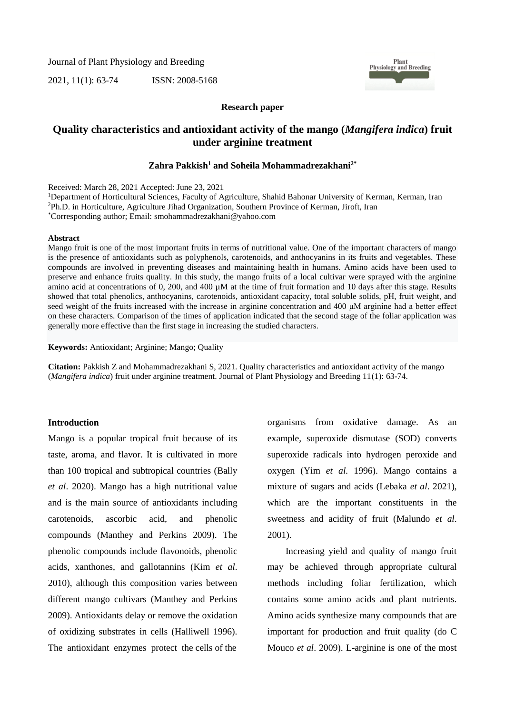Journal of Plant Physiology and Breeding

2021, 11(1): 63-74 ISSN: 2008-5168



#### **Research paper**

## **Quality characteristics and antioxidant activity of the mango (***Mangifera indica***) fruit under arginine treatment**

## **2\* and Soheila Mohammadrezakhani <sup>1</sup> Zahra Pakkish**

Received: March 28, 2021 Accepted: June 23, 2021

<sup>1</sup>Department of Horticultural Sciences, Faculty of Agriculture, Shahid Bahonar University of Kerman, Kerman, Iran <sup>2</sup>Ph.D. in Horticulture, Agriculture Jihad Organization, Southern Province of Kerman, Jiroft, Iran \*Corresponding author; Email: smohammadrezakhani@yahoo.com

#### **Abstract**

Mango fruit is one of the most important fruits in terms of nutritional value. One of the important characters of mango is the presence of antioxidants such as polyphenols, carotenoids, and anthocyanins in its fruits and vegetables. These compounds are involved in preventing diseases and maintaining health in humans. Amino acids have been used to preserve and enhance fruits quality. In this study, the mango fruits of a local cultivar were sprayed with the arginine amino acid at concentrations of 0, 200, and 400  $\mu$ M at the time of fruit formation and 10 days after this stage. Results showed that total phenolics, anthocyanins, carotenoids, antioxidant capacity, total soluble solids, pH, fruit weight, and seed weight of the fruits increased with the increase in arginine concentration and 400 μM arginine had a better effect on these characters. Comparison of the times of application indicated that the second stage of the foliar application was generally more effective than the first stage in increasing the studied characters.

**Keywords:** Antioxidant; Arginine; Mango; Quality

**Citation:** Pakkish Z and Mohammadrezakhani S, 2021. Quality characteristics and antioxidant activity of the mango (*Mangifera indica*) fruit under arginine treatment. Journal of Plant Physiology and Breeding 11(1): 63-74.

## **Introduction**

Mango is a popular tropical fruit because of its taste, aroma, and flavor. It is cultivated in more than 100 tropical and subtropical countries (Bally *et al*. 2020). Mango has a high nutritional value and is the main source of antioxidants including carotenoids, ascorbic acid, and phenolic compounds (Manthey and Perkins 2009). The phenolic compounds include flavonoids, phenolic acids, xanthones, and gallotannins (Kim *et al*. 2010), although this composition varies between different mango cultivars (Manthey and Perkins 2009). Antioxidants delay or remove the oxidation of oxidizing substrates in cells (Halliwell 1996). The antioxidant enzymes protect the cells of the

organisms from oxidative damage. As an example, superoxide dismutase (SOD) converts superoxide radicals into hydrogen peroxide and oxygen (Yim *et al.* 1996). Mango contains a mixture of sugars and acids (Lebaka *et al*. 2021), which are the important constituents in the sweetness and acidity of fruit (Malundo *et al*. 2001).

Increasing yield and quality of mango fruit may be achieved through appropriate cultural methods including foliar fertilization, which contains some amino acids and plant nutrients. Amino acids synthesize many compounds that are important for production and fruit quality (do C Mouco *et al*. 2009). L-arginine is one of the most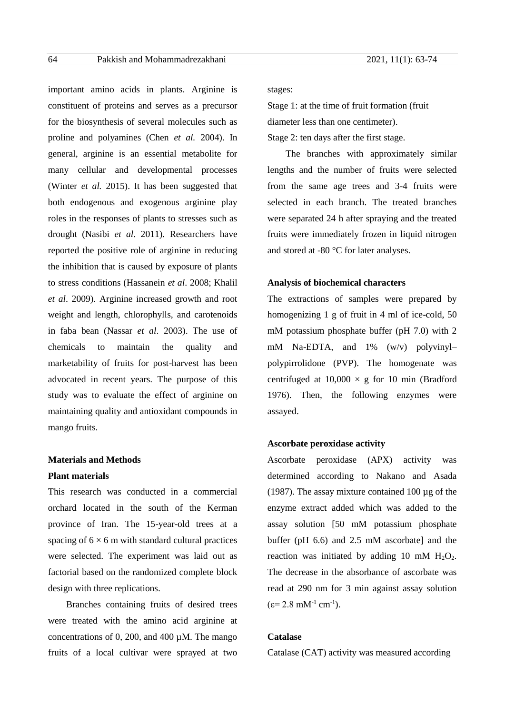important amino acids in plants. Arginine is constituent of proteins and serves as a precursor for the biosynthesis of several molecules such as proline and polyamines (Chen *et al.* 2004). In general, arginine is an essential metabolite for many cellular and developmental processes (Winter *et al.* 2015). It has been suggested that both endogenous and exogenous arginine play roles in the responses of plants to stresses such as drought (Nasibi *et al.* 2011). Researchers have reported the positive role of arginine in reducing the inhibition that is caused by exposure of plants to stress conditions (Hassanein *et al*. 2008; Khalil *et al*. 2009). Arginine increased growth and root weight and length, chlorophylls, and carotenoids in faba bean (Nassar *et al*. 2003). The use of chemicals to maintain the quality and marketability of fruits for post-harvest has been advocated in recent years. The purpose of this study was to evaluate the effect of arginine on maintaining quality and antioxidant compounds in mango fruits.

## **Materials and Methods**

## **Plant materials**

This research was conducted in a commercial orchard located in the south of the Kerman province of Iran. The 15-year-old trees at a spacing of  $6 \times 6$  m with standard cultural practices were selected. The experiment was laid out as factorial based on the randomized complete block design with three replications.

Branches containing fruits of desired trees were treated with the amino acid arginine at concentrations of 0, 200, and 400 µM. The mango fruits of a local cultivar were sprayed at two stages:

Stage 1: at the time of fruit formation (fruit diameter less than one centimeter).

Stage 2: ten days after the first stage.

The branches with approximately similar lengths and the number of fruits were selected from the same age trees and 3-4 fruits were selected in each branch. The treated branches were separated 24 h after spraying and the treated fruits were immediately frozen in liquid nitrogen and stored at -80 °C for later analyses.

## **Analysis of biochemical characters**

The extractions of samples were prepared by homogenizing 1 g of fruit in 4 ml of ice-cold, 50 mM potassium phosphate buffer (pH 7.0) with 2 mM Na-EDTA, and 1% (w/v) polyvinyl– polypirrolidone (PVP). The homogenate was centrifuged at  $10,000 \times g$  for 10 min (Bradford 1976). Then, the following enzymes were assayed.

## **Ascorbate peroxidase activity**

Ascorbate peroxidase (APX) activity was determined according to Nakano and Asada (1987). The assay mixture contained 100 µg of the enzyme extract added which was added to the assay solution [50 mM potassium phosphate buffer (pH 6.6) and 2.5 mM ascorbate] and the reaction was initiated by adding 10 mM  $H_2O_2$ . The decrease in the absorbance of ascorbate was read at 290 nm for 3 min against assay solution  $(\epsilon = 2.8 \text{ mM}^{-1} \text{ cm}^{-1}).$ 

## **Catalase**

Catalase (CAT) activity was measured according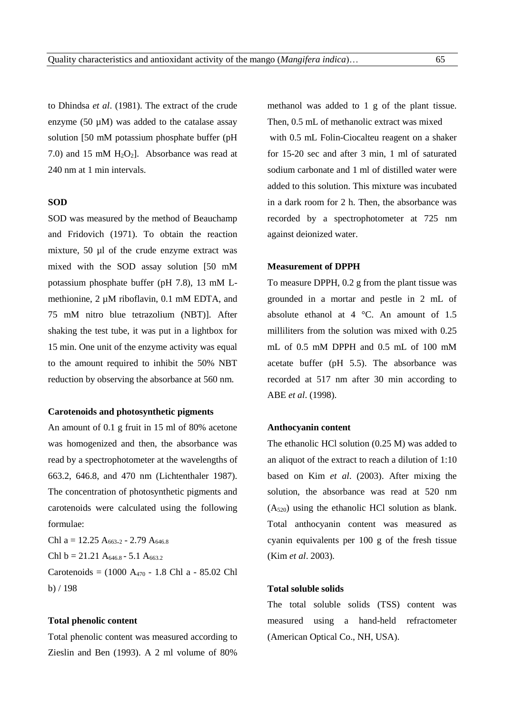to Dhindsa *et al*. (1981). The extract of the crude enzyme (50 µM) was added to the catalase assay solution [50 mM potassium phosphate buffer (pH 7.0) and 15 mM  $H_2O_2$ ]. Absorbance was read at 240 nm at 1 min intervals.

## **SOD**

SOD was measured by the method of Beauchamp and Fridovich (1971). To obtain the reaction mixture, 50 µl of the crude enzyme extract was mixed with the SOD assay solution [50 mM potassium phosphate buffer (pH 7.8), 13 mM Lmethionine, 2  $\mu$ M riboflavin, 0.1 mM EDTA, and 75 mM nitro blue tetrazolium (NBT)]. After shaking the test tube, it was put in a lightbox for 15 min. One unit of the enzyme activity was equal to the amount required to inhibit the 50% NBT reduction by observing the absorbance at 560 nm.

## **Carotenoids and photosynthetic pigments**

An amount of 0.1 g fruit in 15 ml of 80% acetone was homogenized and then, the absorbance was read by a spectrophotometer at the wavelengths of 663.2, 646.8, and 470 nm (Lichtenthaler 1987). The concentration of photosynthetic pigments and carotenoids were calculated using the following formulae:

Chl a =  $12.25$  A<sub>663</sub>.<sub>2</sub> - 2.79 A<sub>646.8</sub> Chl b = 21.21 A<sub>646.8</sub> - 5.1 A<sub>663.2</sub> Carotenoids = (1000 A<sup>470</sup> - 1.8 Chl a - 85.02 Chl b) / 198

## **Total phenolic content**

Total phenolic content was measured according to Zieslin and Ben (1993). A 2 ml volume of 80%

methanol was added to 1 g of the plant tissue. Then, 0.5 mL of methanolic extract was mixed with 0.5 mL Folin-Ciocalteu reagent on a shaker for 15-20 sec and after 3 min, 1 ml of saturated sodium carbonate and 1 ml of distilled water were added to this solution. This mixture was incubated in a dark room for 2 h. Then, the absorbance was recorded by a spectrophotometer at 725 nm against deionized water.

#### **Measurement of DPPH**

To measure DPPH, 0.2 g from the plant tissue was grounded in a mortar and pestle in 2 mL of absolute ethanol at  $4^{\circ}$ C. An amount of 1.5 milliliters from the solution was mixed with 0.25 mL of 0.5 mM DPPH and 0.5 mL of 100 mM acetate buffer (pH 5.5). The absorbance was recorded at 517 nm after 30 min according to ABE *et al*. (1998).

#### **Anthocyanin content**

The ethanolic HCl solution (0.25 M) was added to an aliquot of the extract to reach a dilution of 1:10 based on Kim *et al*. (2003). After mixing the solution, the absorbance was read at 520 nm (A520) using the ethanolic HCl solution as blank. Total anthocyanin content was measured as cyanin equivalents per 100 g of the fresh tissue (Kim *et al*. 2003).

## **Total soluble solids**

The total soluble solids (TSS) content was measured using a hand-held refractometer (American Optical Co., NH, USA).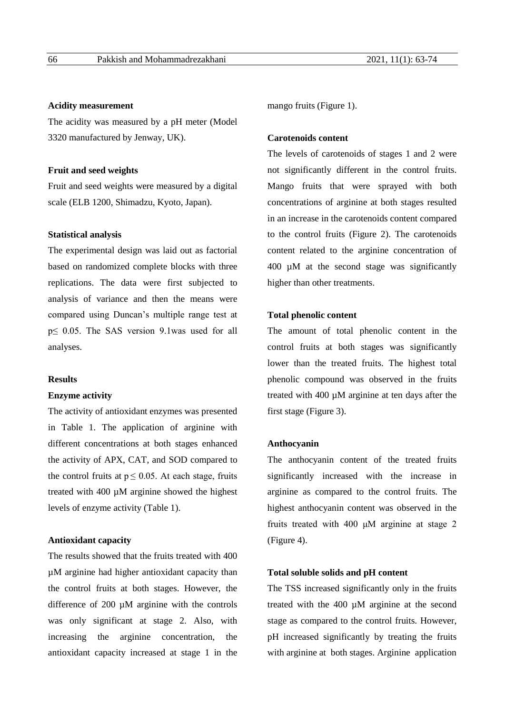## **Acidity measurement**

The acidity was measured by a pH meter (Model 3320 manufactured by Jenway, UK).

## **Fruit and seed weights**

Fruit and seed weights were measured by a digital scale (ELB 1200, Shimadzu, Kyoto, Japan).

#### **Statistical analysis**

The experimental design was laid out as factorial based on randomized complete blocks with three replications. The data were first subjected to analysis of variance and then the means were compared using Duncan's multiple range test at p≤ 0.05. The SAS version 9.1was used for all analyses.

## **Results**

#### **Enzyme activity**

The activity of antioxidant enzymes was presented in Table 1. The application of arginine with different concentrations at both stages enhanced the activity of APX, CAT, and SOD compared to the control fruits at  $p \le 0.05$ . At each stage, fruits treated with 400 µM arginine showed the highest levels of enzyme activity (Table 1).

## **Antioxidant capacity**

The results showed that the fruits treated with 400 µM arginine had higher antioxidant capacity than the control fruits at both stages. However, the difference of 200 µM arginine with the controls was only significant at stage 2. Also, with increasing the arginine concentration, the antioxidant capacity increased at stage 1 in the mango fruits (Figure 1).

## **Carotenoids content**

The levels of carotenoids of stages 1 and 2 were not significantly different in the control fruits. Mango fruits that were sprayed with both concentrations of arginine at both stages resulted in an increase in the carotenoids content compared to the control fruits (Figure 2). The carotenoids content related to the arginine concentration of 400 µM at the second stage was significantly higher than other treatments.

#### **Total phenolic content**

The amount of total phenolic content in the control fruits at both stages was significantly lower than the treated fruits. The highest total phenolic compound was observed in the fruits treated with 400 µM arginine at ten days after the first stage (Figure 3).

## **Anthocyanin**

The anthocyanin content of the treated fruits significantly increased with the increase in arginine as compared to the control fruits. The highest anthocyanin content was observed in the fruits treated with 400 μM arginine at stage 2 (Figure 4).

## **Total soluble solids and pH content**

The TSS increased significantly only in the fruits treated with the 400 µM arginine at the second stage as compared to the control fruits. However, pH increased significantly by treating the fruits with arginine at both stages. Arginine application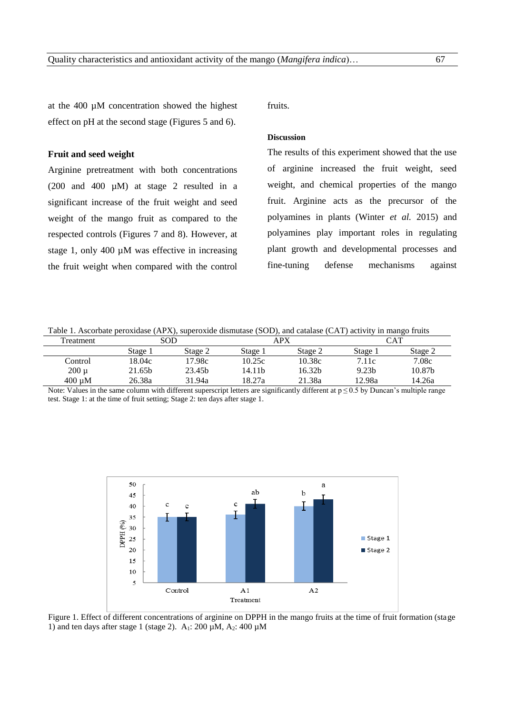at the 400 µM concentration showed the highest effect on pH at the second stage (Figures 5 and 6).

## **Fruit and seed weight**

Arginine pretreatment with both concentrations (200 and 400 µM) at stage 2 resulted in a significant increase of the fruit weight and seed weight of the mango fruit as compared to the respected controls (Figures 7 and 8). However, at stage 1, only 400 µM was effective in increasing the fruit weight when compared with the control

fruits.

## **Discussion**

The results of this experiment showed that the use of arginine increased the fruit weight, seed weight, and chemical properties of the mango fruit. Arginine acts as the precursor of the polyamines in plants (Winter *et al.* 2015) and polyamines play important roles in regulating plant growth and developmental processes and fine-tuning defense mechanisms against

| Table 1. Ascorbate peroxidase (APX), superoxide dismutase (SOD), and catalase (CAT) activity in mango fruits |
|--------------------------------------------------------------------------------------------------------------|
|--------------------------------------------------------------------------------------------------------------|

| Treatment   | SOD     |         | APX     |         | CAT               |         |
|-------------|---------|---------|---------|---------|-------------------|---------|
|             | Stage 1 | Stage 2 | Stage 1 | Stage 2 | Stage 1           | Stage 2 |
| Control     | 18.04c  | 17.98c  | 10.25c  | 10.38c  | 7.11c             | 7.08c   |
| $200 \mu$   | 21.65b  | 23.45b  | l4.11b  | 16.32b  | 9.23 <sub>b</sub> | 10.87b  |
| $400 \mu M$ | 26.38a  | 31.94a  | 18.27a  | 21.38a  | 12.98a            | 14.26a  |

Note: Values in the same column with different superscript letters are significantly different at p ≤ 0.5 by Duncan's multiple range test. Stage 1: at the time of fruit setting; Stage 2: ten days after stage 1.



Figure 1. Effect of different concentrations of arginine on DPPH in the mango fruits at the time of fruit formation (stage 1) and ten days after stage 1 (stage 2).  $A_1$ : 200  $\mu$ M,  $A_2$ : 400  $\mu$ M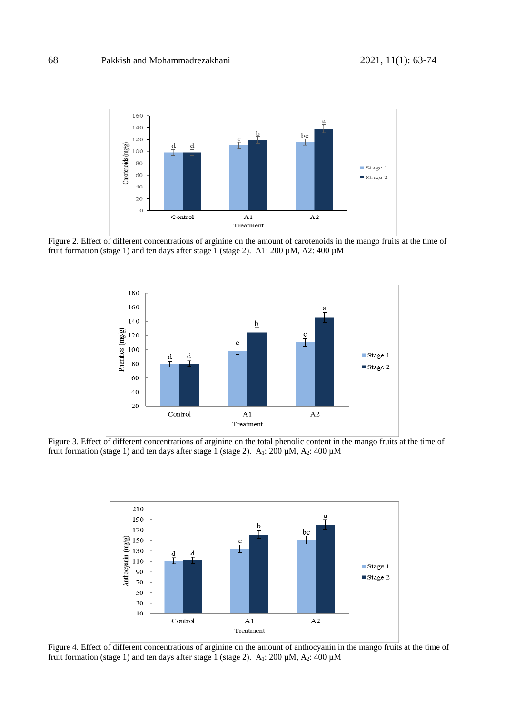

Figure 2. Effect of different concentrations of arginine on the amount of carotenoids in the mango fruits at the time of fruit formation (stage 1) and ten days after stage 1 (stage 2). A1: 200 µM, A2: 400 µM



Figure 3. Effect of different concentrations of arginine on the total phenolic content in the mango fruits at the time of fruit formation (stage 1) and ten days after stage 1 (stage 2).  $A_1$ : 200  $\mu$ M,  $A_2$ : 400  $\mu$ M



Figure 4. Effect of different concentrations of arginine on the amount of anthocyanin in the mango fruits at the time of fruit formation (stage 1) and ten days after stage 1 (stage 2).  $A_1$ : 200  $\mu$ M,  $A_2$ : 400  $\mu$ M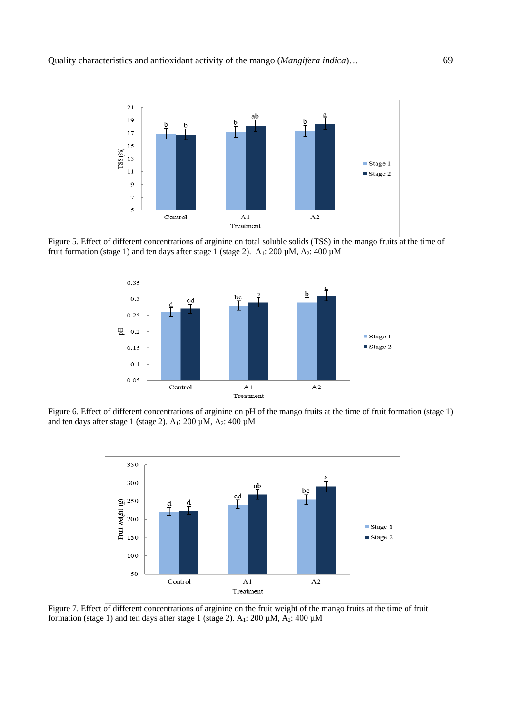

Figure 5. Effect of different concentrations of arginine on total soluble solids (TSS) in the mango fruits at the time of fruit formation (stage 1) and ten days after stage 1 (stage 2).  $A_1$ : 200  $\mu$ M,  $A_2$ : 400  $\mu$ M



Figure 6. Effect of different concentrations of arginine on pH of the mango fruits at the time of fruit formation (stage 1) and ten days after stage 1 (stage 2). A<sub>1</sub>: 200 µM, A<sub>2</sub>: 400 µM



Figure 7. Effect of different concentrations of arginine on the fruit weight of the mango fruits at the time of fruit formation (stage 1) and ten days after stage 1 (stage 2).  $A_1$ : 200  $\mu$ M,  $A_2$ : 400  $\mu$ M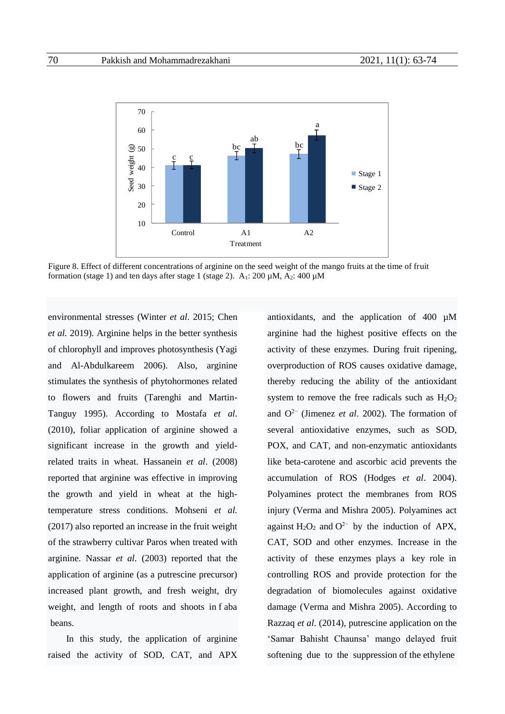

Figure 8. Effect of different concentrations of arginine on the seed weight of the mango fruits at the time of fruit formation (stage 1) and ten days after stage 1 (stage 2).  $A_1$ : 200 µM,  $A_2$ : 400 µM

environmental stresses (Winter *et al*. 2015; Chen *et al.* 2019). Arginine helps in the better synthesis of chlorophyll and improves photosynthesis (Yagi and Al-Abdulkareem 2006). Also, arginine stimulates the synthesis of phytohormones related to flowers and fruits (Tarenghi and Martin-Tanguy 1995). According to Mostafa *et al*. (2010), foliar application of arginine showed a significant increase in the growth and yieldrelated traits in wheat. Hassanein *et al*. (2008) reported that arginine was effective in improving the growth and yield in wheat at the hightemperature stress conditions. Mohseni *et al.* (2017) also reported an increase in the fruit weight of the strawberry cultivar Paros when treated with arginine. Nassar *et al.* (2003) reported that the application of arginine (as a putrescine precursor) increased plant growth, and fresh weight, dry weight, and length of roots and shoots in f aba beans.

In this study, the application of arginine raised the activity of SOD, CAT, and APX antioxidants, and the application of 400 µM arginine had the highest positive effects on the activity of these enzymes. During fruit ripening, overproduction of ROS causes oxidative damage, thereby reducing the ability of the antioxidant system to remove the free radicals such as  $H_2O_2$ and O2− (Jimenez *et al*. 2002). The formation of several antioxidative enzymes, such as SOD, POX, and CAT, and non-enzymatic antioxidants like beta-carotene and ascorbic acid prevents the accumulation of ROS (Hodges *et al*. 2004). Polyamines protect the membranes from ROS injury (Verma and Mishra 2005). Polyamines act against H<sub>2</sub>O<sub>2</sub> and O<sup>2−</sup> by the induction of APX, CAT, SOD and other enzymes. Increase in the activity of these enzymes plays a key role in controlling ROS and provide protection for the degradation of biomolecules against oxidative damage (Verma and Mishra 2005). According to Razzaq *et al*. (2014), putrescine application on the 'Samar Bahisht Chaunsa' mango delayed fruit softening due to the suppression of the ethylene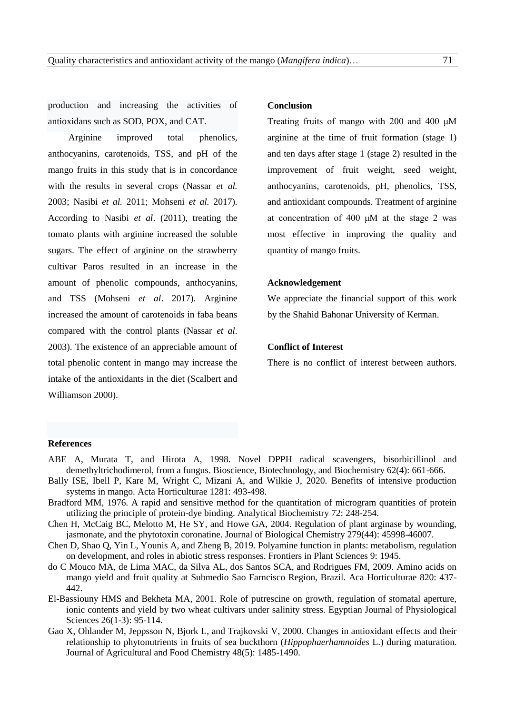production and increasing the activities of antioxidans such as SOD, POX, and CAT.

Arginine improved total phenolics, anthocyanins, carotenoids, TSS, and pH of the mango fruits in this study that is in concordance with the results in several crops (Nassar *et al.* 2003; Nasibi *et al.* 2011; Mohseni *et al.* 2017). According to Nasibi *et al*. (2011), treating the tomato plants with arginine increased the soluble sugars. The effect of arginine on the strawberry cultivar Paros resulted in an increase in the amount of phenolic compounds, anthocyanins, and TSS (Mohseni *et al*. 2017). Arginine increased the amount of carotenoids in faba beans compared with the control plants (Nassar *et al*. 2003). The existence of an appreciable amount of total phenolic content in mango may increase the intake of the antioxidants in the diet (Scalbert and Williamson 2000).

#### **Conclusion**

Treating fruits of mango with 200 and 400 μM arginine at the time of fruit formation (stage 1) and ten days after stage 1 (stage 2) resulted in the improvement of fruit weight, seed weight, anthocyanins, carotenoids, pH, phenolics, TSS, and antioxidant compounds. Treatment of arginine at concentration of 400 μM at the stage 2 was most effective in improving the quality and quantity of mango fruits.

## **Acknowledgement**

We appreciate the financial support of this work by the Shahid Bahonar University of Kerman.

## **Conflict of Interest**

There is no conflict of interest between authors.

## **References**

- [ABE](https://www.researchgate.net/profile/Naoki_Abe?_sg%5B0%5D=J6pYym2eYiYkgJfcDEStWFBGY7BhGdsIY17WkS91AEndvnYlTRCnPrEmivJpuFVNWneziMI.XRHe3JTbEt_7ud9wUkTLvf7za89auK3V_sZLdwFctYa_3eL5DRjz0pC8GWNyJI1bzCH2R_bujul53zMcirFLsQ&_sg%5B1%5D=rx2WAo8oSbE-hJ1sdno7wDrfxI2R2RpmtuOVzmtvedRTKnXJN0x5b9HC42vvV7vi7VWJ9As.GQJlhNi5vTFtzaBDqWEy0V102OkBkHELwB5PDQDSD5iH8CQtJOMPQvHRmChOgjeR2TDoARv0RoYb_NDSRhmGYg) A, [Murata](https://www.researchgate.net/scientific-contributions/75404251_Takashi_Murata?_sg%5B0%5D=J6pYym2eYiYkgJfcDEStWFBGY7BhGdsIY17WkS91AEndvnYlTRCnPrEmivJpuFVNWneziMI.XRHe3JTbEt_7ud9wUkTLvf7za89auK3V_sZLdwFctYa_3eL5DRjz0pC8GWNyJI1bzCH2R_bujul53zMcirFLsQ&_sg%5B1%5D=rx2WAo8oSbE-hJ1sdno7wDrfxI2R2RpmtuOVzmtvedRTKnXJN0x5b9HC42vvV7vi7VWJ9As.GQJlhNi5vTFtzaBDqWEy0V102OkBkHELwB5PDQDSD5iH8CQtJOMPQvHRmChOgjeR2TDoARv0RoYb_NDSRhmGYg) T, and [Hirota](https://www.researchgate.net/scientific-contributions/38435826_Akira_Hirota?_sg%5B0%5D=J6pYym2eYiYkgJfcDEStWFBGY7BhGdsIY17WkS91AEndvnYlTRCnPrEmivJpuFVNWneziMI.XRHe3JTbEt_7ud9wUkTLvf7za89auK3V_sZLdwFctYa_3eL5DRjz0pC8GWNyJI1bzCH2R_bujul53zMcirFLsQ&_sg%5B1%5D=rx2WAo8oSbE-hJ1sdno7wDrfxI2R2RpmtuOVzmtvedRTKnXJN0x5b9HC42vvV7vi7VWJ9As.GQJlhNi5vTFtzaBDqWEy0V102OkBkHELwB5PDQDSD5iH8CQtJOMPQvHRmChOgjeR2TDoARv0RoYb_NDSRhmGYg) A, 1998. Novel DPPH radical scavengers, bisorbicillinol and demethyltrichodimerol, from a fungus. Bioscience, Biotechnology, and Biochemistry 62(4): 661-666.
- Bally ISE, Ibell P, Kare M, Wright C, Mizani A, and Wilkie J, 2020. Benefits of intensive production systems in mango. Acta Horticulturae 1281: 493-498.
- [Bradford MM,](https://www.ncbi.nlm.nih.gov/pubmed/?term=Bradford%20MM%5BAuthor%5D&cauthor=true&cauthor_uid=942051) 1976. A rapid and sensitive method for the quantitation of microgram quantities of protein utilizing the principle of protein-dye binding. [Analytical Biochemistry](https://www.ncbi.nlm.nih.gov/pubmed/942051) 72: 248-254.
- Chen H, McCaig BC, Melotto M, He SY, and Howe GA, 2004. Regulation of plant arginase by wounding, jasmonate, and the phytotoxin coronatine. Journal of Biological Chemistry 279(44): 45998-46007.
- Chen D, Shao Q, Yin L, Younis A, and Zheng B, 2019. Polyamine function in plants: metabolism, regulation on development, and roles in abiotic stress responses. Frontiers in Plant Sciences 9: 1945.
- do C Mouco MA, de Lima MAC, da Silva AL, dos Santos SCA, and Rodrigues FM, 2009. Amino acids on mango yield and fruit quality at Submedio Sao Farncisco Region, Brazil. Aca Horticulturae 820: 437- 442.
- El-Bassiouny HMS and Bekheta MA, 2001. Role of putrescine on growth, regulation of stomatal aperture, ionic contents and yield by two wheat cultivars under salinity stress. Egyptian Journal of Physiological Sciences 26(1-3): 95-114.
- [Gao](https://www.researchgate.net/scientific-contributions/2056672688_Xiangqun_Gao) X, [Ohlander](https://www.researchgate.net/scientific-contributions/31224529_Maria_Ohlander) M, [Jeppsson](https://www.researchgate.net/scientific-contributions/31734236_Niklas_Jeppsson) N, [Bjork](https://www.researchgate.net/profile/Lars_Bjork) L, and [Trajkovski](https://www.researchgate.net/scientific-contributions/80473574_Viktor_Trajkovski) V, 2000. Changes in antioxidant effects and their relationship to phytonutrients in fruits of sea buckthorn (*Hippophaerhamnoides* L.) during maturation. Journal of Agricultural and Food Chemistry 48(5): 1485-1490.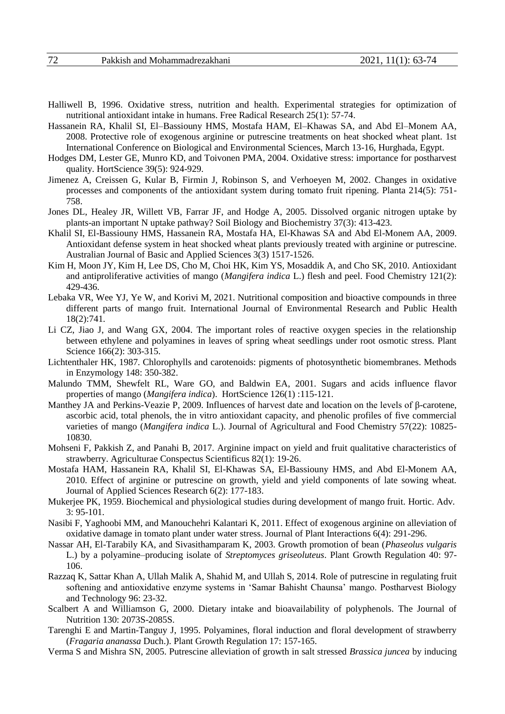- Halliwell B, 1996. Oxidative stress, nutrition and health. Experimental strategies for optimization of nutritional antioxidant intake in humans. Free Radical Research 25(1): 57-74.
- Hassanein RA, Khalil SI, El–Bassiouny HMS, Mostafa HAM, El–Khawas SA, and Abd El–Monem AA, 2008. Protective role of exogenous arginine or putrescine treatments on heat shocked wheat plant. 1st International Conference on Biological and Environmental Sciences, March 13-16, Hurghada, Egypt.
- Hodges DM, Lester GE, Munro KD, and Toivonen PMA, 2004. Oxidative stress: importance for postharvest quality. HortScience 39(5): 924-929.
- Jimenez A, Creissen G, Kular B, Firmin J, Robinson S, and Verhoeyen M, 2002. Changes in oxidative processes and components of the antioxidant system during tomato fruit ripening. Planta 214(5): 751- 758.
- Jones DL, Healey JR, Willett VB, Farrar JF, and Hodge A, 2005. Dissolved organic nitrogen uptake by plants-an important N uptake pathway? Soil Biology and Biochemistry 37(3): 413-423.
- Khalil SI, El-Bassiouny HMS, Hassanein RA, Mostafa HA, El-Khawas SA and Abd El-Monem AA, 2009. Antioxidant defense system in heat shocked wheat plants previously treated with arginine or putrescine. Australian Journal of Basic and Applied Sciences 3(3) 1517-1526.
- Kim H, Moon JY, Kim H, Lee DS, Cho M, Choi HK, Kim YS, Mosaddik A, and Cho SK, 2010. Antioxidant and antiproliferative activities of mango (*Mangifera indica* L.) flesh and peel. Food Chemistry 121(2): 429-436.
- Lebaka VR, Wee YJ, Ye W, and Korivi M, 2021. Nutritional composition and bioactive compounds in three different parts of mango fruit. International Journal of Environmental Research and Public Health 18(2):741.
- Li CZ, Jiao J, and Wang GX, 2004. The important roles of reactive oxygen species in the relationship between ethylene and polyamines in leaves of spring wheat seedlings under root osmotic stress. Plant Science 166(2): 303-315.
- Lichtenthaler HK, 1987. Chlorophylls and carotenoids: pigments of photosynthetic biomembranes. Methods in Enzymology 148: 350-382.
- Malundo TMM, Shewfelt RL, Ware GO, and Baldwin EA, 2001. Sugars and acids influence flavor properties of mango (*Mangifera indica*). [HortScience 1](http://www.avocadosource.com/Journals/ASHS/JASHS_TOC.htm)26(1) :115-121.
- Manthey JA and Perkins-Veazie P, 2009. Influences of harvest date and location on the levels of β-carotene, ascorbic acid, total phenols, the in vitro antioxidant capacity, and phenolic profiles of five commercial varieties of mango (*Mangifera indica* L.). Journal of Agricultural and Food Chemistry 57(22): 10825- 10830.
- Mohseni F, Pakkish Z, and Panahi B, 2017. Arginine impact on yield and fruit qualitative characteristics of strawberry. Agriculturae Conspectus Scientificus 82(1): 19-26.
- Mostafa HAM, Hassanein RA, Khalil SI, El-Khawas SA, El-Bassiouny HMS, and Abd El-Monem AA, 2010. Effect of arginine or putrescine on growth, yield and yield components of late sowing wheat. Journal of Applied Sciences Research 6(2): 177-183.
- Mukerjee PK, 1959. Biochemical and physiological studies during development of mango fruit. Hortic. Adv. 3: 95-101.
- Nasibi F, Yaghoobi MM, and Manouchehri Kalantari K, 2011. Effect of exogenous arginine on alleviation of oxidative damage in tomato plant under water stress. Journal of Plant Interactions 6(4): 291-296.
- Nassar AH, El-Tarabily KA, and Sivasithamparam K, 2003. Growth promotion of bean (*Phaseolus vulgaris* L.) by a polyamine–producing isolate of *Streptomyces griseoluteus*. Plant Growth Regulation 40: 97- 106.
- Razzaq K, Sattar Khan A, Ullah Malik A, Shahid M, and Ullah S, 2014. Role of putrescine in regulating fruit softening and antioxidative enzyme systems in 'Samar Bahisht Chaunsa' mango. Postharvest Biology and Technology 96: 23-32.
- Scalbert A and Williamson G, 2000. Dietary intake and bioavailability of polyphenols. The Journal of Nutrition 130: 2073S-2085S.
- Tarenghi E and Martin-Tanguy J, 1995. Polyamines, floral induction and floral development of strawberry (*Fragaria ananassa* Duch.). [Plant Growth Regulation](https://link.springer.com/journal/10725) 17: 157-165.
- Verma S and Mishra SN, 2005. Putrescine alleviation of growth in salt stressed *Brassica juncea* by inducing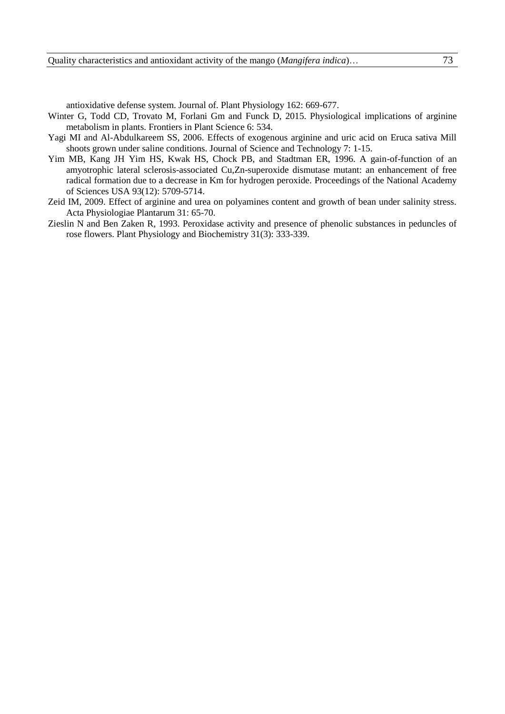antioxidative defense system. Journal of. Plant Physiology 162: 669-677.

- Winter G, Todd CD, Trovato M, Forlani Gm and Funck D, 2015. Physiological implications of arginine metabolism in plants. Frontiers in Plant Science 6: 534.
- Yagi MI and Al-Abdulkareem SS, 2006. Effects of exogenous arginine and uric acid on Eruca sativa Mill shoots grown under saline conditions. Journal of Science and Technology 7: 1-15.
- Yim MB, Kang JH Yim HS, Kwak HS, Chock PB, and Stadtman ER, 1996. A gain-of-function of an amyotrophic lateral sclerosis-associated Cu,Zn-superoxide dismutase mutant: an enhancement of free radical formation due to a decrease in Km for hydrogen peroxide. Proceedings of the National Academy of Sciences USA 93(12): 5709-5714.
- Zeid IM, 2009. Effect of arginine and urea on polyamines content and growth of bean under salinity stress. Acta Physiologiae Plantarum 31: 65-70.
- Zieslin N and Ben Zaken R, 1993. Peroxidase activity and presence of phenolic substances in peduncles of rose flowers. Plant Physiology and Biochemistry 31(3): 333-339.